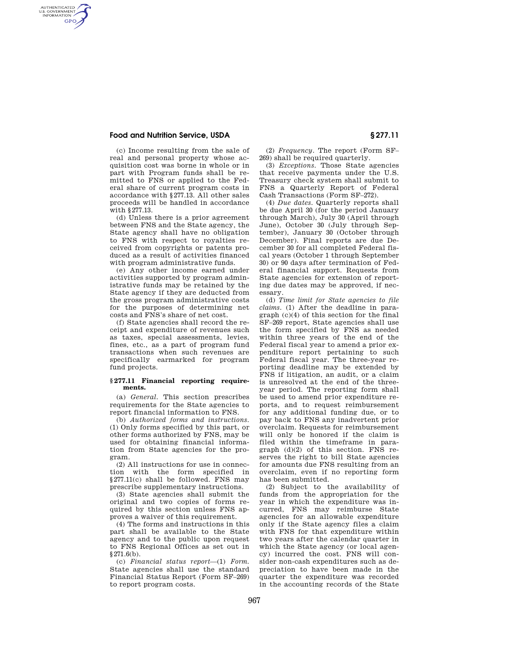## **Food and Nutrition Service, USDA § 277.11**

AUTHENTICATED<br>U.S. GOVERNMENT<br>INFORMATION **GPO** 

> (c) Income resulting from the sale of real and personal property whose acquisition cost was borne in whole or in part with Program funds shall be remitted to FNS or applied to the Federal share of current program costs in accordance with §277.13. All other sales proceeds will be handled in accordance with §277.13.

> (d) Unless there is a prior agreement between FNS and the State agency, the State agency shall have no obligation to FNS with respect to royalties received from copyrights or patents produced as a result of activities financed with program administrative funds.

> (e) Any other income earned under activities supported by program administrative funds may be retained by the State agency if they are deducted from the gross program administrative costs for the purposes of determining net costs and FNS's share of net cost.

> (f) State agencies shall record the receipt and expenditure of revenues such as taxes, special assessments, levies, fines, etc., as a part of program fund transactions when such revenues are specifically earmarked for program fund projects.

## **§ 277.11 Financial reporting requirements.**

(a) *General.* This section prescribes requirements for the State agencies to report financial information to FNS.

(b) *Authorized forms and instructions.*  (1) Only forms specified by this part, or other forms authorized by FNS, may be used for obtaining financial information from State agencies for the program.

(2) All instructions for use in connection with the form specified in §277.11(c) shall be followed. FNS may prescribe supplementary instructions.

(3) State agencies shall submit the original and two copies of forms required by this section unless FNS approves a waiver of this requirement.

(4) The forms and instructions in this part shall be available to the State agency and to the public upon request to FNS Regional Offices as set out in §271.6(b).

(c) *Financial status report*—(1) *Form.*  State agencies shall use the standard Financial Status Report (Form SF–269) to report program costs.

(2) *Frequency.* The report (Form SF– 269) shall be required quarterly.

(3) *Exceptions.* Those State agencies that receive payments under the U.S. Treasury check system shall submit to FNS a Quarterly Report of Federal Cash Transactions (Form SF–272).

(4) *Due dates.* Quarterly reports shall be due April 30 (for the period January through March), July 30 (April through June), October 30 (July through September), January 30 (October through December). Final reports are due December 30 for all completed Federal fiscal years (October 1 through September 30) or 90 days after termination of Federal financial support. Requests from State agencies for extension of reporting due dates may be approved, if necessary.

(d) *Time limit for State agencies to file claims.* (1) After the deadline in paragraph (c)(4) of this section for the final SF–269 report, State agencies shall use the form specified by FNS as needed within three years of the end of the Federal fiscal year to amend a prior expenditure report pertaining to such Federal fiscal year. The three-year reporting deadline may be extended by FNS if litigation, an audit, or a claim is unresolved at the end of the threeyear period. The reporting form shall be used to amend prior expenditure reports, and to request reimbursement for any additional funding due, or to pay back to FNS any inadvertent prior overclaim. Requests for reimbursement will only be honored if the claim is filed within the timeframe in paragraph (d)(2) of this section. FNS reserves the right to bill State agencies for amounts due FNS resulting from an overclaim, even if no reporting form has been submitted.

(2) Subject to the availability of funds from the appropriation for the year in which the expenditure was incurred, FNS may reimburse State agencies for an allowable expenditure only if the State agency files a claim with FNS for that expenditure within two years after the calendar quarter in which the State agency (or local agency) incurred the cost. FNS will consider non-cash expenditures such as depreciation to have been made in the quarter the expenditure was recorded in the accounting records of the State